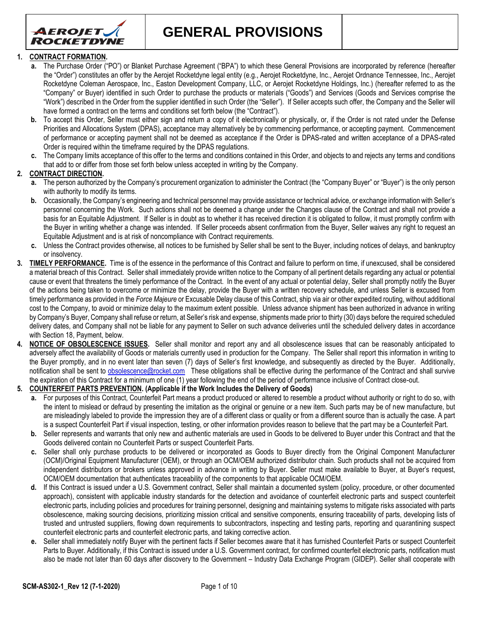

**GENERAL PROVISIONS**

### **1. CONTRACT FORMATION.**

- **a.** The Purchase Order ("PO") or Blanket Purchase Agreement ("BPA") to which these General Provisions are incorporated by reference (hereafter the "Order") constitutes an offer by the Aerojet Rocketdyne legal entity (e.g., Aerojet Rocketdyne, Inc., Aerojet Ordnance Tennessee, Inc., Aerojet Rocketdyne Coleman Aerospace, Inc., Easton Development Company, LLC, or Aerojet Rocketdyne Holdings, Inc.) (hereafter referred to as the "Company" or Buyer) identified in such Order to purchase the products or materials ("Goods") and Services (Goods and Services comprise the "Work") described in the Order from the supplier identified in such Order (the "Seller"). If Seller accepts such offer, the Company and the Seller will have formed a contract on the terms and conditions set forth below (the "Contract").
- **b.** To accept this Order, Seller must either sign and return a copy of it electronically or physically, or, if the Order is not rated under the Defense Priorities and Allocations System (DPAS), acceptance may alternatively be by commencing performance, or accepting payment. Commencement of performance or accepting payment shall not be deemed as acceptance if the Order is DPAS-rated and written acceptance of a DPAS-rated Order is required within the timeframe required by the DPAS regulations.
- **c.** The Company limits acceptance of this offer to the terms and conditions contained in this Order, and objects to and rejects any terms and conditions that add to or differ from those set forth below unless accepted in writing by the Company.

## **2. CONTRACT DIRECTION.**

- **a.** The person authorized by the Company's procurement organization to administer the Contract (the "Company Buyer" or "Buyer") is the only person with authority to modify its terms.
- **b.** Occasionally, the Company's engineering and technical personnel may provide assistance or technical advice, or exchange information with Seller's personnel concerning the Work. Such actions shall not be deemed a change under the Changes clause of the Contract and shall not provide a basis for an Equitable Adjustment. If Seller is in doubt as to whether it has received direction it is obligated to follow, it must promptly confirm with the Buyer in writing whether a change was intended. If Seller proceeds absent confirmation from the Buyer, Seller waives any right to request an Equitable Adjustment and is at risk of noncompliance with Contract requirements.
- **c.** Unless the Contract provides otherwise, all notices to be furnished by Seller shall be sent to the Buyer, including notices of delays, and bankruptcy or insolvency.
- **3. TIMELY PERFORMANCE.** Time is of the essence in the performance of this Contract and failure to perform on time, if unexcused, shall be considered a material breach of this Contract. Seller shall immediately provide written notice to the Company of all pertinent details regarding any actual or potential cause or event that threatens the timely performance of the Contract. In the event of any actual or potential delay, Seller shall promptly notify the Buyer of the actions being taken to overcome or minimize the delay, provide the Buyer with a written recovery schedule, and unless Seller is excused from timely performance as provided in the *Force Majeure* or Excusable Delay clause of this Contract, ship via air or other expedited routing, without additional cost to the Company, to avoid or minimize delay to the maximum extent possible. Unless advance shipment has been authorized in advance in writing by Company's Buyer, Company shall refuse or return, at Seller's risk and expense, shipments made prior to thirty (30) days before the required scheduled delivery dates, and Company shall not be liable for any payment to Seller on such advance deliveries until the scheduled delivery dates in accordance with Section 18, Payment, below.
- **4. NOTICE OF OBSOLESCENCE ISSUES.** Seller shall monitor and report any and all obsolescence issues that can be reasonably anticipated to adversely affect the availability of Goods or materials currently used in production for the Company. The Seller shall report this information in writing to the Buyer promptly, and in no event later than seven (7) days of Seller's first knowledge, and subsequently as directed by the Buyer. Additionally, notification shall be sent to [obsolescence@rocket.com](mailto:obsolescence@rocket.com) These obligations shall be effective during the performance of the Contract and shall survive the expiration of this Contract for a minimum of one (1) year following the end of the period of performance inclusive of Contract close-out.

### **5. COUNTERFEIT PARTS PREVENTION. (Applicable if the Work Includes the Delivery of Goods)**

- **a.** For purposes of this Contract, Counterfeit Part means a product produced or altered to resemble a product without authority or right to do so, with the intent to mislead or defraud by presenting the imitation as the original or genuine or a new item. Such parts may be of new manufacture, but are misleadingly labeled to provide the impression they are of a different class or quality or from a different source than is actually the case. A part is a suspect Counterfeit Part if visual inspection, testing, or other information provides reason to believe that the part may be a Counterfeit Part.
- **b.** Seller represents and warrants that only new and authentic materials are used in Goods to be delivered to Buyer under this Contract and that the Goods delivered contain no Counterfeit Parts or suspect Counterfeit Parts.
- **c.** Seller shall only purchase products to be delivered or incorporated as Goods to Buyer directly from the Original Component Manufacturer (OCM)/Original Equipment Manufacturer (OEM), or through an OCM/OEM authorized distributor chain. Such products shall not be acquired from independent distributors or brokers unless approved in advance in writing by Buyer. Seller must make available to Buyer, at Buyer's request, OCM/OEM documentation that authenticates traceability of the components to that applicable OCM/OEM.
- **d.** If this Contract is issued under a U.S. Government contract, Seller shall maintain a documented system (policy, procedure, or other documented approach), consistent with applicable industry standards for the detection and avoidance of counterfeit electronic parts and suspect counterfeit electronic parts, including policies and procedures for training personnel, designing and maintaining systems to mitigate risks associated with parts obsolescence, making sourcing decisions, prioritizing mission critical and sensitive components, ensuring traceability of parts, developing lists of trusted and untrusted suppliers, flowing down requirements to subcontractors, inspecting and testing parts, reporting and quarantining suspect counterfeit electronic parts and counterfeit electronic parts, and taking corrective action.
- **e.** Seller shall immediately notify Buyer with the pertinent facts if Seller becomes aware that it has furnished Counterfeit Parts or suspect Counterfeit Parts to Buyer. Additionally, if this Contract is issued under a U.S. Government contract, for confirmed counterfeit electronic parts, notification must also be made not later than 60 days after discovery to the Government – Industry Data Exchange Program (GIDEP). Seller shall cooperate with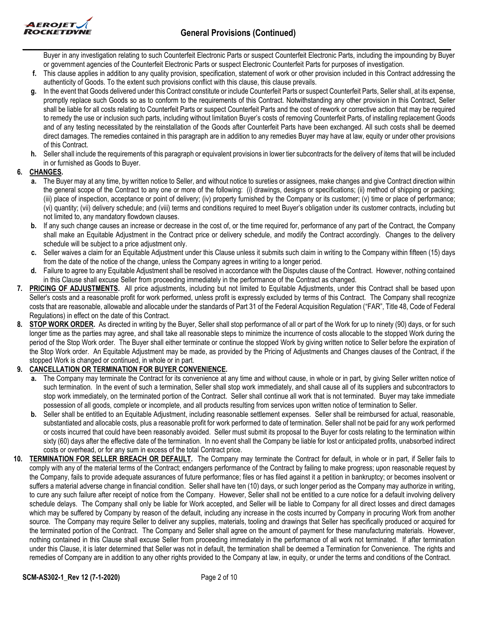

Buyer in any investigation relating to such Counterfeit Electronic Parts or suspect Counterfeit Electronic Parts, including the impounding by Buyer or government agencies of the Counterfeit Electronic Parts or suspect Electronic Counterfeit Parts for purposes of investigation.

- **f.** This clause applies in addition to any quality provision, specification, statement of work or other provision included in this Contract addressing the authenticity of Goods. To the extent such provisions conflict with this clause, this clause prevails.
- **g.** In the event that Goods delivered under this Contract constitute or include Counterfeit Parts or suspect Counterfeit Parts, Seller shall, at its expense, promptly replace such Goods so as to conform to the requirements of this Contract. Notwithstanding any other provision in this Contract, Seller shall be liable for all costs relating to Counterfeit Parts or suspect Counterfeit Parts and the cost of rework or corrective action that may be required to remedy the use or inclusion such parts, including without limitation Buyer's costs of removing Counterfeit Parts, of installing replacement Goods and of any testing necessitated by the reinstallation of the Goods after Counterfeit Parts have been exchanged. All such costs shall be deemed direct damages. The remedies contained in this paragraph are in addition to any remedies Buyer may have at law, equity or under other provisions of this Contract.
- **h.** Seller shall include the requirements of this paragraph or equivalent provisions in lower tier subcontracts for the delivery of items that will be included in or furnished as Goods to Buyer.

# **6. CHANGES.**

- **a.** The Buyer may at any time, by written notice to Seller, and without notice to sureties or assignees, make changes and give Contract direction within the general scope of the Contract to any one or more of the following: (i) drawings, designs or specifications; (ii) method of shipping or packing; (iii) place of inspection, acceptance or point of delivery; (iv) property furnished by the Company or its customer; (v) time or place of performance; (vi) quantity; (vii) delivery schedule; and (viii) terms and conditions required to meet Buyer's obligation under its customer contracts, including but not limited to, any mandatory flowdown clauses.
- **b.** If any such change causes an increase or decrease in the cost of, or the time required for, performance of any part of the Contract, the Company shall make an Equitable Adjustment in the Contract price or delivery schedule, and modify the Contract accordingly. Changes to the delivery schedule will be subject to a price adjustment only.
- **c.** Seller waives a claim for an Equitable Adjustment under this Clause unless it submits such claim in writing to the Company within fifteen (15) days from the date of the notice of the change, unless the Company agrees in writing to a longer period.
- **d.** Failure to agree to any Equitable Adjustment shall be resolved in accordance with the Disputes clause of the Contract. However, nothing contained in this Clause shall excuse Seller from proceeding immediately in the performance of the Contract as changed.
- **7. PRICING OF ADJUSTMENTS.** All price adjustments, including but not limited to Equitable Adjustments, under this Contract shall be based upon Seller's costs and a reasonable profit for work performed, unless profit is expressly excluded by terms of this Contract. The Company shall recognize costs that are reasonable, allowable and allocable under the standards of Part 31 of the Federal Acquisition Regulation ("FAR", Title 48, Code of Federal Regulations) in effect on the date of this Contract.
- **8. STOP WORK ORDER.** As directed in writing by the Buyer, Seller shall stop performance of all or part of the Work for up to ninety (90) days, or for such longer time as the parties may agree, and shall take all reasonable steps to minimize the incurrence of costs allocable to the stopped Work during the period of the Stop Work order. The Buyer shall either terminate or continue the stopped Work by giving written notice to Seller before the expiration of the Stop Work order. An Equitable Adjustment may be made, as provided by the Pricing of Adjustments and Changes clauses of the Contract, if the stopped Work is changed or continued, in whole or in part.

# **9. CANCELLATION OR TERMINATION FOR BUYER CONVENIENCE.**

- **a.** The Company may terminate the Contract for its convenience at any time and without cause, in whole or in part, by giving Seller written notice of such termination. In the event of such a termination, Seller shall stop work immediately, and shall cause all of its suppliers and subcontractors to stop work immediately, on the terminated portion of the Contract. Seller shall continue all work that is not terminated. Buyer may take immediate possession of all goods, complete or incomplete, and all products resulting from services upon written notice of termination to Seller.
- **b.** Seller shall be entitled to an Equitable Adjustment, including reasonable settlement expenses. Seller shall be reimbursed for actual, reasonable, substantiated and allocable costs, plus a reasonable profit for work performed to date of termination. Seller shall not be paid for any work performed or costs incurred that could have been reasonably avoided. Seller must submit its proposal to the Buyer for costs relating to the termination within sixty (60) days after the effective date of the termination. In no event shall the Company be liable for lost or anticipated profits, unabsorbed indirect costs or overhead, or for any sum in excess of the total Contract price.
- **10. TERMINATION FOR SELLER BREACH OR DEFAULT.** The Company may terminate the Contract for default, in whole or in part, if Seller fails to comply with any of the material terms of the Contract; endangers performance of the Contract by failing to make progress; upon reasonable request by the Company, fails to provide adequate assurances of future performance; files or has filed against it a petition in bankruptcy; or becomes insolvent or suffers a material adverse change in financial condition. Seller shall have ten (10) days, or such longer period as the Company may authorize in writing, to cure any such failure after receipt of notice from the Company. However, Seller shall not be entitled to a cure notice for a default involving delivery schedule delays. The Company shall only be liable for Work accepted, and Seller will be liable to Company for all direct losses and direct damages which may be suffered by Company by reason of the default, including any increase in the costs incurred by Company in procuring Work from another source. The Company may require Seller to deliver any supplies, materials, tooling and drawings that Seller has specifically produced or acquired for the terminated portion of the Contract. The Company and Seller shall agree on the amount of payment for these manufacturing materials. However, nothing contained in this Clause shall excuse Seller from proceeding immediately in the performance of all work not terminated. If after termination under this Clause, it is later determined that Seller was not in default, the termination shall be deemed a Termination for Convenience. The rights and remedies of Company are in addition to any other rights provided to the Company at law, in equity, or under the terms and conditions of the Contract.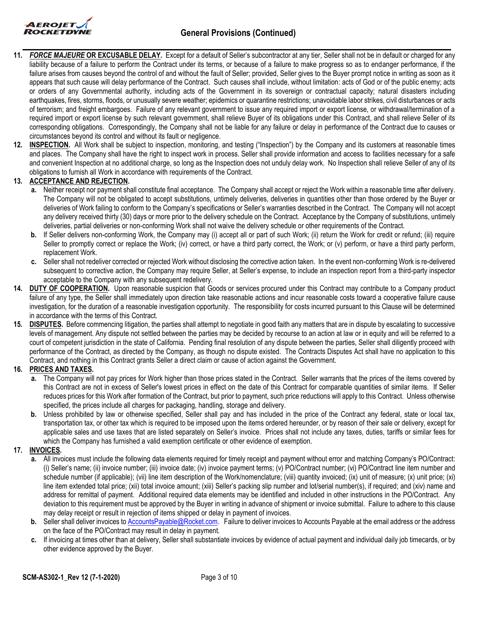

- **11.** *FORCE MAJEURE* **OR EXCUSABLE DELAY.** Except for a default of Seller's subcontractor at any tier, Seller shall not be in default or charged for any liability because of a failure to perform the Contract under its terms, or because of a failure to make progress so as to endanger performance, if the failure arises from causes beyond the control of and without the fault of Seller; provided, Seller gives to the Buyer prompt notice in writing as soon as it appears that such cause will delay performance of the Contract. Such causes shall include, without limitation: acts of God or of the public enemy; acts or orders of any Governmental authority, including acts of the Government in its sovereign or contractual capacity; natural disasters including earthquakes, fires, storms, floods, or unusually severe weather; epidemics or quarantine restrictions; unavoidable labor strikes, civil disturbances or acts of terrorism; and freight embargoes. Failure of any relevant government to issue any required import or export license, or withdrawal/termination of a required import or export license by such relevant government, shall relieve Buyer of its obligations under this Contract, and shall relieve Seller of its corresponding obligations. Correspondingly, the Company shall not be liable for any failure or delay in performance of the Contract due to causes or circumstances beyond its control and without its fault or negligence.
- **12. INSPECTION.** All Work shall be subject to inspection, monitoring, and testing ("Inspection") by the Company and its customers at reasonable times and places. The Company shall have the right to inspect work in process. Seller shall provide information and access to facilities necessary for a safe and convenient Inspection at no additional charge, so long as the Inspection does not unduly delay work. No Inspection shall relieve Seller of any of its obligations to furnish all Work in accordance with requirements of the Contract.

# **13. ACCEPTANCE AND REJECTION.**

- **a.** Neither receipt nor payment shall constitute final acceptance. The Company shall accept or reject the Work within a reasonable time after delivery. The Company will not be obligated to accept substitutions, untimely deliveries, deliveries in quantities other than those ordered by the Buyer or deliveries of Work failing to conform to the Company's specifications or Seller's warranties described in the Contract. The Company will not accept any delivery received thirty (30) days or more prior to the delivery schedule on the Contract. Acceptance by the Company of substitutions, untimely deliveries, partial deliveries or non-conforming Work shall not waive the delivery schedule or other requirements of the Contract.
- **b.** If Seller delivers non-conforming Work, the Company may (i) accept all or part of such Work; (ii) return the Work for credit or refund; (iii) require Seller to promptly correct or replace the Work; (iv) correct, or have a third party correct, the Work; or (v) perform, or have a third party perform, replacement Work.
- **c.** Seller shall not redeliver corrected or rejected Work without disclosing the corrective action taken. In the event non-conforming Work is re-delivered subsequent to corrective action, the Company may require Seller, at Seller's expense, to include an inspection report from a third-party inspector acceptable to the Company with any subsequent redelivery.
- **14. DUTY OF COOPERATION.** Upon reasonable suspicion that Goods or services procured under this Contract may contribute to a Company product failure of any type, the Seller shall immediately upon direction take reasonable actions and incur reasonable costs toward a cooperative failure cause investigation, for the duration of a reasonable investigation opportunity. The responsibility for costs incurred pursuant to this Clause will be determined in accordance with the terms of this Contract.
- **15. DISPUTES.** Before commencing litigation, the parties shall attempt to negotiate in good faith any matters that are in dispute by escalating to successive levels of management. Any dispute not settled between the parties may be decided by recourse to an action at law or in equity and will be referred to a court of competent jurisdiction in the state of California. Pending final resolution of any dispute between the parties, Seller shall diligently proceed with performance of the Contract, as directed by the Company, as though no dispute existed. The Contracts Disputes Act shall have no application to this Contract, and nothing in this Contract grants Seller a direct claim or cause of action against the Government.

### **16. PRICES AND TAXES.**

- **a.** The Company will not pay prices for Work higher than those prices stated in the Contract. Seller warrants that the prices of the items covered by this Contract are not in excess of Seller's lowest prices in effect on the date of this Contract for comparable quantities of similar items. If Seller reduces prices for this Work after formation of the Contract, but prior to payment, such price reductions will apply to this Contract. Unless otherwise specified, the prices include all charges for packaging, handling, storage and delivery.
- **b.** Unless prohibited by law or otherwise specified, Seller shall pay and has included in the price of the Contract any federal, state or local tax, transportation tax, or other tax which is required to be imposed upon the items ordered hereunder, or by reason of their sale or delivery, except for applicable sales and use taxes that are listed separately on Seller's invoice. Prices shall not include any taxes, duties, tariffs or similar fees for which the Company has furnished a valid exemption certificate or other evidence of exemption.

### **17. INVOICES.**

- **a.** All invoices must include the following data elements required for timely receipt and payment without error and matching Company's PO/Contract: (i) Seller's name; (ii) invoice number; (iii) invoice date; (iv) invoice payment terms; (v) PO/Contract number; (vi) PO/Contract line item number and schedule number (if applicable); (vii) line item description of the Work/nomenclature; (viii) quantity invoiced; (ix) unit of measure; (x) unit price; (xi) line item extended total price; (xii) total invoice amount; (xiii) Seller's packing slip number and lot/serial number(s), if required; and (xiv) name and address for remittal of payment. Additional required data elements may be identified and included in other instructions in the PO/Contract. Any deviation to this requirement must be approved by the Buyer in writing in advance of shipment or invoice submittal. Failure to adhere to this clause may delay receipt or result in rejection of items shipped or delay in payment of invoices.
- **b.** Seller shall deliver invoices to [AccountsPayable@Rocket.com.](mailto:) Failure to deliver invoices to Accounts Payable at the email address or the address on the face of the PO/Contract may result in delay in payment.
- **c.** If invoicing at times other than at delivery, Seller shall substantiate invoices by evidence of actual payment and individual daily job timecards, or by other evidence approved by the Buyer.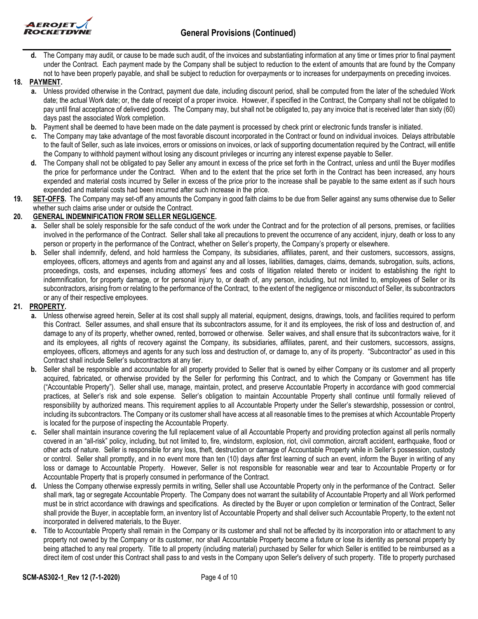



**d.** The Company may audit, or cause to be made such audit, of the invoices and substantiating information at any time or times prior to final payment under the Contract. Each payment made by the Company shall be subject to reduction to the extent of amounts that are found by the Company not to have been properly payable, and shall be subject to reduction for overpayments or to increases for underpayments on preceding invoices.

## **18. PAYMENT.**

- **a.** Unless provided otherwise in the Contract, payment due date, including discount period, shall be computed from the later of the scheduled Work date; the actual Work date; or, the date of receipt of a proper invoice. However, if specified in the Contract, the Company shall not be obligated to pay until final acceptance of delivered goods. The Company may, but shall not be obligated to, pay any invoice that is received later than sixty (60) days past the associated Work completion.
- **b.** Payment shall be deemed to have been made on the date payment is processed by check print or electronic funds transfer is initiated.
- **c.** The Company may take advantage of the most favorable discount incorporated in the Contract or found on individual invoices. Delays attributable to the fault of Seller, such as late invoices, errors or omissions on invoices, or lack of supporting documentation required by the Contract, will entitle the Company to withhold payment without losing any discount privileges or incurring any interest expense payable to Seller.
- **d.** The Company shall not be obligated to pay Seller any amount in excess of the price set forth in the Contract, unless and until the Buyer modifies the price for performance under the Contract. When and to the extent that the price set forth in the Contract has been increased, any hours expended and material costs incurred by Seller in excess of the price prior to the increase shall be payable to the same extent as if such hours expended and material costs had been incurred after such increase in the price.
- **19. SET-OFFS.** The Company may set-off any amounts the Company in good faith claims to be due from Seller against any sums otherwise due to Seller whether such claims arise under or outside the Contract.

## **20. GENERAL INDEMNIFICATION FROM SELLER NEGLIGENCE.**

- **a.** Seller shall be solely responsible for the safe conduct of the work under the Contract and for the protection of all persons, premises, or facilities involved in the performance of the Contract. Seller shall take all precautions to prevent the occurrence of any accident, injury, death or loss to any person or property in the performance of the Contract, whether on Seller's property, the Company's property or elsewhere.
- **b.** Seller shall indemnify, defend, and hold harmless the Company, its subsidiaries, affiliates, parent, and their customers, successors, assigns, employees, officers, attorneys and agents from and against any and all losses, liabilities, damages, claims, demands, subrogation, suits, actions, proceedings, costs, and expenses, including attorneys' fees and costs of litigation related thereto or incident to establishing the right to indemnification, for property damage, or for personal injury to, or death of, any person, including, but not limited to, employees of Seller or its subcontractors, arising from or relating to the performance of the Contract, to the extent of the negligence or misconduct of Seller, its subcontractors or any of their respective employees.

### **21. PROPERTY.**

- **a.** Unless otherwise agreed herein, Seller at its cost shall supply all material, equipment, designs, drawings, tools, and facilities required to perform this Contract. Seller assumes, and shall ensure that its subcontractors assume, for it and its employees, the risk of loss and destruction of, and damage to any of its property, whether owned, rented, borrowed or otherwise. Seller waives, and shall ensure that its subcontractors waive, for it and its employees, all rights of recovery against the Company, its subsidiaries, affiliates, parent, and their customers, successors, assigns, employees, officers, attorneys and agents for any such loss and destruction of, or damage to, any of its property. "Subcontractor" as used in this Contract shall include Seller's subcontractors at any tier.
- **b.** Seller shall be responsible and accountable for all property provided to Seller that is owned by either Company or its customer and all property acquired, fabricated, or otherwise provided by the Seller for performing this Contract, and to which the Company or Government has title ("Accountable Property"). Seller shall use, manage, maintain, protect, and preserve Accountable Property in accordance with good commercial practices, at Seller's risk and sole expense. Seller's obligation to maintain Accountable Property shall continue until formally relieved of responsibility by authorized means. This requirement applies to all Accountable Property under the Seller's stewardship, possession or control, including its subcontractors. The Company or its customer shall have access at all reasonable times to the premises at which Accountable Property is located for the purpose of inspecting the Accountable Property.
- **c.** Seller shall maintain insurance covering the full replacement value of all Accountable Property and providing protection against all perils normally covered in an "all-risk" policy, including, but not limited to, fire, windstorm, explosion, riot, civil commotion, aircraft accident, earthquake, flood or other acts of nature. Seller is responsible for any loss, theft, destruction or damage of Accountable Property while in Seller's possession, custody or control. Seller shall promptly, and in no event more than ten (10) days after first learning of such an event, inform the Buyer in writing of any loss or damage to Accountable Property. However, Seller is not responsible for reasonable wear and tear to Accountable Property or for Accountable Property that is properly consumed in performance of the Contract.
- **d.** Unless the Company otherwise expressly permits in writing, Seller shall use Accountable Property only in the performance of the Contract. Seller shall mark, tag or segregate Accountable Property. The Company does not warrant the suitability of Accountable Property and all Work performed must be in strict accordance with drawings and specifications. As directed by the Buyer or upon completion or termination of the Contract, Seller shall provide the Buyer, in acceptable form, an inventory list of Accountable Property and shall deliver such Accountable Property, to the extent not incorporated in delivered materials, to the Buyer.
- **e.** Title to Accountable Property shall remain in the Company or its customer and shall not be affected by its incorporation into or attachment to any property not owned by the Company or its customer, nor shall Accountable Property become a fixture or lose its identity as personal property by being attached to any real property. Title to all property (including material) purchased by Seller for which Seller is entitled to be reimbursed as a direct item of cost under this Contract shall pass to and vests in the Company upon Seller's delivery of such property. Title to property purchased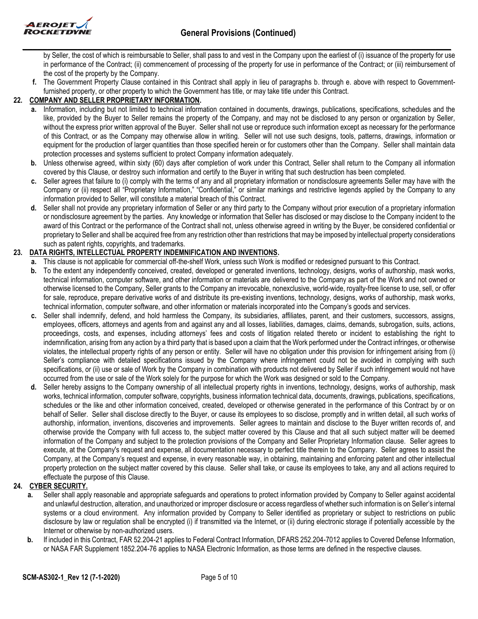

by Seller, the cost of which is reimbursable to Seller, shall pass to and vest in the Company upon the earliest of (i) issuance of the property for use in performance of the Contract; (ii) commencement of processing of the property for use in performance of the Contract; or (iii) reimbursement of the cost of the property by the Company.

**f.** The Government Property Clause contained in this Contract shall apply in lieu of paragraphs b. through e. above with respect to Governmentfurnished property, or other property to which the Government has title, or may take title under this Contract.

### **22. COMPANY AND SELLER PROPRIETARY INFORMATION.**

- **a.** Information, including but not limited to technical information contained in documents, drawings, publications, specifications, schedules and the like, provided by the Buyer to Seller remains the property of the Company, and may not be disclosed to any person or organization by Seller, without the express prior written approval of the Buyer. Seller shall not use or reproduce such information except as necessary for the performance of this Contract, or as the Company may otherwise allow in writing. Seller will not use such designs, tools, patterns, drawings, information or equipment for the production of larger quantities than those specified herein or for customers other than the Company. Seller shall maintain data protection processes and systems sufficient to protect Company information adequately.
- **b.** Unless otherwise agreed, within sixty (60) days after completion of work under this Contract, Seller shall return to the Company all information covered by this Clause, or destroy such information and certify to the Buyer in writing that such destruction has been completed.
- **c.** Seller agrees that failure to (i) comply with the terms of any and all proprietary information or nondisclosure agreements Seller may have with the Company or (ii) respect all "Proprietary Information," "Confidential," or similar markings and restrictive legends applied by the Company to any information provided to Seller, will constitute a material breach of this Contract.
- **d.** Seller shall not provide any proprietary information of Seller or any third party to the Company without prior execution of a proprietary information or nondisclosure agreement by the parties. Any knowledge or information that Seller has disclosed or may disclose to the Company incident to the award of this Contract or the performance of the Contract shall not, unless otherwise agreed in writing by the Buyer, be considered confidential or proprietary to Seller and shall be acquired free from any restriction other than restrictions that may be imposed by intellectual property considerations such as patent rights, copyrights, and trademarks.

## **23. DATA RIGHTS, INTELLECTUAL PROPERTY INDEMNIFICATION AND INVENTIONS.**

- **a.** This clause is not applicable for commercial off-the-shelf Work, unless such Work is modified or redesigned pursuant to this Contract.
- **b.** To the extent any independently conceived, created, developed or generated inventions, technology, designs, works of authorship, mask works, technical information, computer software, and other information or materials are delivered to the Company as part of the Work and not owned or otherwise licensed to the Company, Seller grants to the Company an irrevocable, nonexclusive, world-wide, royalty-free license to use, sell, or offer for sale, reproduce, prepare derivative works of and distribute its pre-existing inventions, technology, designs, works of authorship, mask works, technical information, computer software, and other information or materials incorporated into the Company's goods and services.
- **c.** Seller shall indemnify, defend, and hold harmless the Company, its subsidiaries, affiliates, parent, and their customers, successors, assigns, employees, officers, attorneys and agents from and against any and all losses, liabilities, damages, claims, demands, subrogation, suits, actions, proceedings, costs, and expenses, including attorneys' fees and costs of litigation related thereto or incident to establishing the right to indemnification, arising from any action by a third party that is based upon a claim that the Work performed under the Contract infringes, or otherwise violates, the intellectual property rights of any person or entity. Seller will have no obligation under this provision for infringement arising from (i) Seller's compliance with detailed specifications issued by the Company where infringement could not be avoided in complying with such specifications, or (ii) use or sale of Work by the Company in combination with products not delivered by Seller if such infringement would not have occurred from the use or sale of the Work solely for the purpose for which the Work was designed or sold to the Company.
- **d.** Seller hereby assigns to the Company ownership of all intellectual property rights in inventions, technology, designs, works of authorship, mask works, technical information, computer software, copyrights, business information technical data, documents, drawings, publications, specifications, schedules or the like and other information conceived, created, developed or otherwise generated in the performance of this Contract by or on behalf of Seller. Seller shall disclose directly to the Buyer, or cause its employees to so disclose, promptly and in written detail, all such works of authorship, information, inventions, discoveries and improvements. Seller agrees to maintain and disclose to the Buyer written records of, and otherwise provide the Company with full access to, the subject matter covered by this Clause and that all such subject matter will be deemed information of the Company and subject to the protection provisions of the Company and Seller Proprietary Information clause. Seller agrees to execute, at the Company's request and expense, all documentation necessary to perfect title therein to the Company. Seller agrees to assist the Company, at the Company's request and expense, in every reasonable way, in obtaining, maintaining and enforcing patent and other intellectual property protection on the subject matter covered by this clause. Seller shall take, or cause its employees to take, any and all actions required to effectuate the purpose of this Clause.

### **24. CYBER SECURITY.**

- **a.** Seller shall apply reasonable and appropriate safeguards and operations to protect information provided by Company to Seller against accidental and unlawful destruction, alteration, and unauthorized or improper disclosure or access regardless of whether such information is on Seller's internal systems or a cloud environment. Any information provided by Company to Seller identified as proprietary or subject to restrictions on public disclosure by law or regulation shall be encrypted (i) if transmitted via the Internet, or (ii) during electronic storage if potentially accessible by the Internet or otherwise by non-authorized users.
- **b.** If included in this Contract, FAR 52.204-21 applies to Federal Contract Information, DFARS 252.204-7012 applies to Covered Defense Information, or NASA FAR Supplement 1852.204-76 applies to NASA Electronic Information, as those terms are defined in the respective clauses.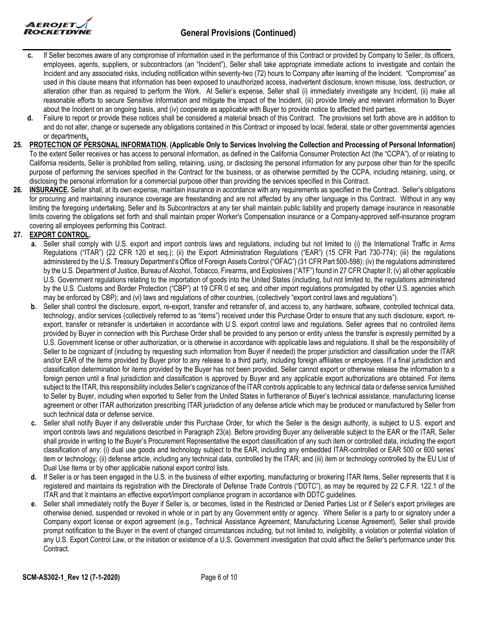

- **c.** If Seller becomes aware of any compromise of information used in the performance of this Contract or provided by Company to Seller, its officers, employees, agents, suppliers, or subcontractors (an "Incident"), Seller shall take appropriate immediate actions to investigate and contain the Incident and any associated risks, including notification within seventy-two (72) hours to Company after learning of the Incident. "Compromise" as used in this clause means that information has been exposed to unauthorized access, inadvertent disclosure, known misuse, loss, destruction, or alteration other than as required to perform the Work. At Seller's expense, Seller shall (i) immediately investigate any Incident, (ii) make all reasonable efforts to secure Sensitive Information and mitigate the impact of the Incident, (iii) provide timely and relevant information to Buyer about the Incident on an ongoing basis, and (iv) cooperate as applicable with Buyer to provide notice to affected third parties.
- **d.** Failure to report or provide these notices shall be considered a material breach of this Contract. The provisions set forth above are in addition to and do not alter, change or supersede any obligations contained in this Contract or imposed by local, federal, state or other governmental agencies or departments**.**
- **25. PROTECTION OF PERSONAL INFORMATION. (Applicable Only to Services Involving the Collection and Processing of Personal Information)**  To the extent Seller receives or has access to personal information, as defined in the California Consumer Protection Act (the "CCPA"), of or relating to California residents, Seller is prohibited from selling, retaining, using, or disclosing the personal information for any purpose other than for the specific purpose of performing the services specified in the Contract for the business, or as otherwise permitted by the CCPA, including retaining, using, or disclosing the personal information for a commercial purpose other than providing the services specified in this Contract.
- **26. INSURANCE.** Seller shall, at its own expense, maintain insurance in accordance with any requirements as specified in the Contract. Seller's obligations for procuring and maintaining insurance coverage are freestanding and are not affected by any other language in this Contract. Without in any way limiting the foregoing undertaking, Seller and its Subcontractors at any tier shall maintain public liability and property damage insurance in reasonable limits covering the obligations set forth and shall maintain proper Worker's Compensation insurance or a Company-approved self-insurance program covering all employees performing this Contract.

## **27. EXPORT CONTROL.**

- **a.** Seller shall comply with U.S. export and import controls laws and regulations, including but not limited to (i) the International Traffic in Arms Regulations ("ITAR") (22 CFR 120 et seq.); (ii) the Export Administration Regulations ("EAR") (15 CFR Part 730-774); (iii) the regulations administered by the U.S. Treasury Department's Office of Foreign Assets Control ("OFAC") (31 CFR Part 500-598); (iv) the regulations administered by the U.S. Department of Justice, Bureau of Alcohol, Tobacco, Firearms, and Explosives ("ATF") found in 27 CFR Chapter II; (v) all other applicable U.S. Government regulations relating to the importation of goods into the United States (including, but not limited to, the regulations administered by the U.S. Customs and Border Protection ("CBP") at 19 CFR 0 et seq. and other import regulations promulgated by other U.S. agencies which may be enforced by CBP); and (vi) laws and regulations of other countries, (collectively "export control laws and regulations").
- **b.** Seller shall control the disclosure, export, re-export, transfer and retransfer of, and access to, any hardware, software, controlled technical data, technology, and/or services (collectively referred to as "items") received under this Purchase Order to ensure that any such disclosure, export, reexport, transfer or retransfer is undertaken in accordance with U.S. export control laws and regulations. Seller agrees that no controlled items provided by Buyer in connection with this Purchase Order shall be provided to any person or entity unless the transfer is expressly permitted by a U.S. Government license or other authorization, or is otherwise in accordance with applicable laws and regulations. It shall be the responsibility of Seller to be cognizant of (including by requesting such information from Buyer if needed) the proper jurisdiction and classification under the ITAR and/or EAR of the items provided by Buyer prior to any release to a third party, including foreign affiliates or employees. If a final jurisdiction and classification determination for items provided by the Buyer has not been provided, Seller cannot export or otherwise release the information to a foreign person until a final jurisdiction and classification is approved by Buyer and any applicable export authorizations are obtained. For items subject to the ITAR, this responsibility includes Seller's cognizance of the ITAR controls applicable to any technical data or defense service furnished to Seller by Buyer, including when exported to Seller from the United States in furtherance of Buyer's technical assistance, manufacturing license agreement or other ITAR authorization prescribing ITAR jurisdiction of any defense article which may be produced or manufactured by Seller from such technical data or defense service.
- **c.** Seller shall notify Buyer if any deliverable under this Purchase Order, for which the Seller is the design authority, is subject to U.S. export and import controls laws and regulations described in Paragraph 23(a). Before providing Buyer any deliverable subject to the EAR or the ITAR, Seller shall provide in writing to the Buyer's Procurement Representative the export classification of any such item or controlled data, including the export classification of any: (i) dual use goods and technology subject to the EAR, including any embedded ITAR-controlled or EAR 500 or 600 series' item or technology; (ii) defense article, including any technical data, controlled by the ITAR; and (iii) item or technology controlled by the EU List of Dual Use Items or by other applicable national export control lists.
- **d.** If Seller is or has been engaged in the U.S. in the business of either exporting, manufacturing or brokering ITAR Items, Seller represents that it is registered and maintains its registration with the Directorate of Defense Trade Controls ("DDTC"), as may be required by 22 C.F.R. 122.1 of the ITAR and that it maintains an effective export/import compliance program in accordance with DDTC guidelines.
- **e.** Seller shall immediately notify the Buyer if Seller is, or becomes, listed in the Restricted or Denied Parties List or if Seller's export privileges are otherwise denied, suspended or revoked in whole or in part by any Government entity or agency. Where Seller is a party to or signatory under a Company export license or export agreement (e.g., Technical Assistance Agreement, Manufacturing License Agreement), Seller shall provide prompt notification to the Buyer in the event of changed circumstances including, but not limited to, ineligibility, a violation or potential violation of any U.S. Export Control Law, or the initiation or existence of a U.S. Government investigation that could affect the Seller's performance under this Contract.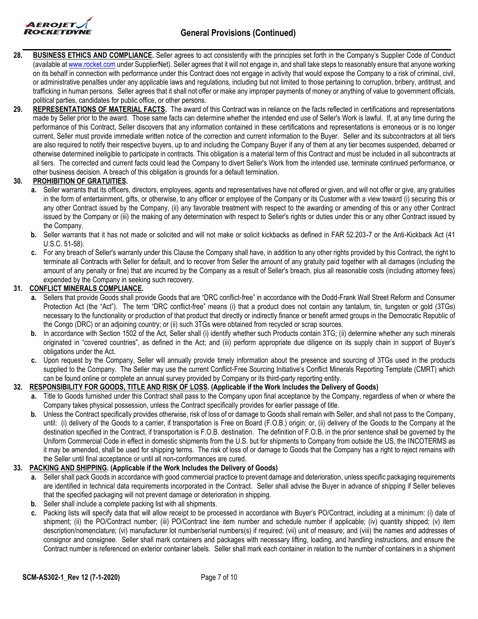

- **28. BUSINESS ETHICS AND COMPLIANCE.** Seller agrees to act consistently with the principles set forth in the Company's Supplier Code of Conduct (available at [www.rocket.com](http://www.rocket.com/) under SupplierNet). Seller agrees that it will not engage in, and shall take steps to reasonably ensure that anyone working on its behalf in connection with performance under this Contract does not engage in activity that would expose the Company to a risk of criminal, civil, or administrative penalties under any applicable laws and regulations, including but not limited to those pertaining to corruption, bribery, antitrust, and trafficking in human persons. Seller agrees that it shall not offer or make any improper payments of money or anything of value to government officials, political parties, candidates for public office, or other persons.
- **29. REPRESENTATIONS OF MATERIAL FACTS.** The award of this Contract was in reliance on the facts reflected in certifications and representations made by Seller prior to the award. Those same facts can determine whether the intended end use of Seller's Work is lawful. If, at any time during the performance of this Contract, Seller discovers that any information contained in these certifications and representations is erroneous or is no longer current, Seller must provide immediate written notice of the correction and current information to the Buyer. Seller and its subcontractors at all tiers are also required to notify their respective buyers, up to and including the Company Buyer if any of them at any tier becomes suspended, debarred or otherwise determined ineligible to participate in contracts. This obligation is a material term of this Contract and must be included in all subcontracts at all tiers. The corrected and current facts could lead the Company to divert Seller's Work from the intended use, terminate continued performance, or other business decision. A breach of this obligation is grounds for a default termination.

# **30. PROHIBITION OF GRATUITIES.**

- **a.** Seller warrants that its officers, directors, employees, agents and representatives have not offered or given, and will not offer or give, any gratuities in the form of entertainment, gifts, or otherwise, to any officer or employee of the Company or its Customer with a view toward (i) securing this or any other Contract issued by the Company, (ii) any favorable treatment with respect to the awarding or amending of this or any other Contract issued by the Company or (iii) the making of any determination with respect to Seller's rights or duties under this or any other Contract issued by the Company.
- **b.** Seller warrants that it has not made or solicited and will not make or solicit kickbacks as defined in FAR 52.203-7 or the Anti-Kickback Act (41 U.S.C. 51-58).
- **c.** For any breach of Seller's warranty under this Clause the Company shall have, in addition to any other rights provided by this Contract, the right to terminate all Contracts with Seller for default, and to recover from Seller the amount of any gratuity paid together with all damages (including the amount of any penalty or fine) that are incurred by the Company as a result of Seller's breach, plus all reasonable costs (including attorney fees) expended by the Company in seeking such recovery.

### **31. CONFLICT MINERALS COMPLIANCE.**

- **a.** Sellers that provide Goods shall provide Goods that are "DRC conflict-free" in accordance with the Dodd-Frank Wall Street Reform and Consumer Protection Act (the "Act"). The term "DRC conflict-free" means (i) that a product does not contain any tantalum, tin, tungsten or gold (3TGs) necessary to the functionality or production of that product that directly or indirectly finance or benefit armed groups in the Democratic Republic of the Congo (DRC) or an adjoining country; or (ii) such 3TGs were obtained from recycled or scrap sources.
- **b.** In accordance with Section 1502 of the Act, Seller shall (i) identify whether such Products contain 3TG; (ii) determine whether any such minerals originated in "covered countries", as defined in the Act; and (iii) perform appropriate due diligence on its supply chain in support of Buyer's obligations under the Act.
- **c.** Upon request by the Company, Seller will annually provide timely information about the presence and sourcing of 3TGs used in the products supplied to the Company. The Seller may use the current Conflict-Free Sourcing Initiative's Conflict Minerals Reporting Template (CMRT) which can be found online or complete an annual survey provided by Company or its third-party reporting entity.

### **32. RESPONSIBILITY FOR GOODS, TITLE AND RISK OF LOSS. (Applicable if the Work Includes the Delivery of Goods)**

- **a.** Title to Goods furnished under this Contract shall pass to the Company upon final acceptance by the Company, regardless of when or where the Company takes physical possession, unless the Contract specifically provides for earlier passage of title.
- **b.** Unless the Contract specifically provides otherwise, risk of loss of or damage to Goods shall remain with Seller, and shall not pass to the Company, until: (i) delivery of the Goods to a carrier, if transportation is Free on Board (F.O.B.) origin; or, (ii) delivery of the Goods to the Company at the destination specified in the Contract, if transportation is F.O.B. destination. The definition of F.O.B. in the prior sentence shall be governed by the Uniform Commercial Code in effect in domestic shipments from the U.S. but for shipments to Company from outside the US, the INCOTERMS as it may be amended, shall be used for shipping terms. The risk of loss of or damage to Goods that the Company has a right to reject remains with the Seller until final acceptance or until all non-conformances are cured.

### **33. PACKING AND SHIPPING. (Applicable if the Work Includes the Delivery of Goods)**

- **a.** Seller shall pack Goods in accordance with good commercial practice to prevent damage and deterioration, unless specific packaging requirements are identified in technical data requirements incorporated in the Contract. Seller shall advise the Buyer in advance of shipping if Seller believes that the specified packaging will not prevent damage or deterioration in shipping.
- **b.** Seller shall include a complete packing list with all shipments.
- **c.** Packing lists will specify data that will allow receipt to be processed in accordance with Buyer's PO/Contract, including at a minimum: (i) date of shipment; (ii) the PO/Contract number; (iii) PO/Contract line item number and schedule number if applicable; (iv) quantity shipped; (v) item description/nomenclature; (vi) manufacturer lot number/serial numbers(s) if required; (vii) unit of measure; and (viii) the names and addresses of consignor and consignee. Seller shall mark containers and packages with necessary lifting, loading, and handling instructions, and ensure the Contract number is referenced on exterior container labels. Seller shall mark each container in relation to the number of containers in a shipment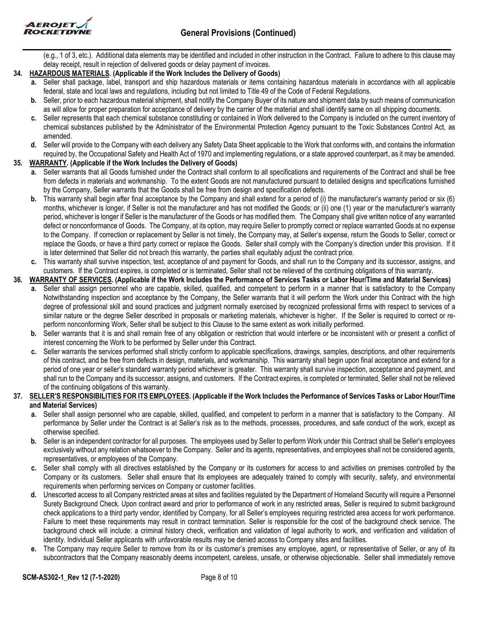

(e.g., 1 of 3, etc.). Additional data elements may be identified and included in other instruction in the Contract. Failure to adhere to this clause may delay receipt, result in rejection of delivered goods or delay payment of invoices.

## **34. HAZARDOUS MATERIALS. (Applicable if the Work Includes the Delivery of Goods)**

- **a.** Seller shall package, label, transport and ship hazardous materials or items containing hazardous materials in accordance with all applicable federal, state and local laws and regulations, including but not limited to Title 49 of the Code of Federal Regulations.
- **b.** Seller, prior to each hazardous material shipment, shall notify the Company Buyer of its nature and shipment data by such means of communication as will allow for proper preparation for acceptance of delivery by the carrier of the material and shall identify same on all shipping documents.
- **c.** Seller represents that each chemical substance constituting or contained in Work delivered to the Company is included on the current inventory of chemical substances published by the Administrator of the Environmental Protection Agency pursuant to the Toxic Substances Control Act, as amended.
- **d.** Seller will provide to the Company with each delivery any Safety Data Sheet applicable to the Work that conforms with, and contains the information required by, the Occupational Safety and Health Act of 1970 and implementing regulations, or a state approved counterpart, as it may be amended.

## **35. WARRANTY. (Applicable if the Work Includes the Delivery of Goods)**

- **a.** Seller warrants that all Goods furnished under the Contract shall conform to all specifications and requirements of the Contract and shall be free from defects in materials and workmanship. To the extent Goods are not manufactured pursuant to detailed designs and specifications furnished by the Company, Seller warrants that the Goods shall be free from design and specification defects.
- **b.** This warranty shall begin after final acceptance by the Company and shall extend for a period of (i) the manufacturer's warranty period or six (6) months, whichever is longer, if Seller is not the manufacturer and has not modified the Goods; or (ii) one (1) year or the manufacturer's warranty period, whichever is longer if Seller is the manufacturer of the Goods or has modified them. The Company shall give written notice of any warranted defect or nonconformance of Goods. The Company, at its option, may require Seller to promptly correct or replace warranted Goods at no expense to the Company. If correction or replacement by Seller is not timely, the Company may, at Seller's expense, return the Goods to Seller, correct or replace the Goods, or have a third party correct or replace the Goods. Seller shall comply with the Company's direction under this provision. If it is later determined that Seller did not breach this warranty, the parties shall equitably adjust the contract price.
- **c.** This warranty shall survive inspection, test, acceptance of and payment for Goods, and shall run to the Company and its successor, assigns, and customers. If the Contract expires, is completed or is terminated, Seller shall not be relieved of the continuing obligations of this warranty.

## **36. WARRANTY OF SERVICES. (Applicable if the Work Includes the Performance of Services Tasks or Labor Hour/Time and Material Services)**

- **a.** Seller shall assign personnel who are capable, skilled, qualified, and competent to perform in a manner that is satisfactory to the Company Notwithstanding inspection and acceptance by the Company, the Seller warrants that it will perform the Work under this Contract with the high degree of professional skill and sound practices and judgment normally exercised by recognized professional firms with respect to services of a similar nature or the degree Seller described in proposals or marketing materials, whichever is higher. If the Seller is required to correct or reperform nonconforming Work, Seller shall be subject to this Clause to the same extent as work initially performed.
- **b.** Seller warrants that it is and shall remain free of any obligation or restriction that would interfere or be inconsistent with or present a conflict of interest concerning the Work to be performed by Seller under this Contract.
- **c.** Seller warrants the services performed shall strictly conform to applicable specifications, drawings, samples, descriptions, and other requirements of this contract, and be free from defects in design, materials, and workmanship. This warranty shall begin upon final acceptance and extend for a period of one year or seller's standard warranty period whichever is greater. This warranty shall survive inspection, acceptance and payment, and shall run to the Company and its successor, assigns, and customers. If the Contract expires, is completed or terminated, Seller shall not be relieved of the continuing obligations of this warranty.

### **37. SELLER'S RESPONSIBILITIES FOR ITS EMPLOYEES. (Applicable if the Work Includes the Performance of Services Tasks or Labor Hour/Time and Material Services)**

- **a.** Seller shall assign personnel who are capable, skilled, qualified, and competent to perform in a manner that is satisfactory to the Company. All performance by Seller under the Contract is at Seller's risk as to the methods, processes, procedures, and safe conduct of the work, except as otherwise specified.
- **b.** Seller is an independent contractor for all purposes. The employees used by Seller to perform Work under this Contract shall be Seller's employees exclusively without any relation whatsoever to the Company. Seller and its agents, representatives, and employees shall not be considered agents, representatives, or employees of the Company.
- **c.** Seller shall comply with all directives established by the Company or its customers for access to and activities on premises controlled by the Company or its customers. Seller shall ensure that its employees are adequately trained to comply with security, safety, and environmental requirements when performing services on Company or customer facilities.
- **d.** Unescorted access to all Company restricted areas at sites and facilities regulated by the Department of Homeland Security will require a Personnel Surety Background Check. Upon contract award and prior to performance of work in any restricted areas, Seller is required to submit background check applications to a third party vendor, identified by Company, for all Seller's employees requiring restricted area access for work performance. Failure to meet these requirements may result in contract termination. Seller is responsible for the cost of the background check service. The background check will include: a criminal history check, verification and validation of legal authority to work, and verification and validation of identity. Individual Seller applicants with unfavorable results may be denied access to Company sites and facilities.
- **e.** The Company may require Seller to remove from its or its customer's premises any employee, agent, or representative of Seller, or any of its subcontractors that the Company reasonably deems incompetent, careless, unsafe, or otherwise objectionable. Seller shall immediately remove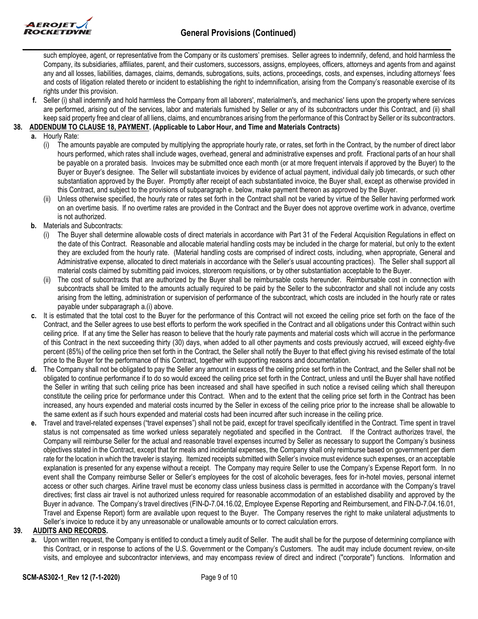

such employee, agent, or representative from the Company or its customers' premises. Seller agrees to indemnify, defend, and hold harmless the Company, its subsidiaries, affiliates, parent, and their customers, successors, assigns, employees, officers, attorneys and agents from and against any and all losses, liabilities, damages, claims, demands, subrogations, suits, actions, proceedings, costs, and expenses, including attorneys' fees and costs of litigation related thereto or incident to establishing the right to indemnification, arising from the Company's reasonable exercise of its rights under this provision.

**f.** Seller (i) shall indemnify and hold harmless the Company from all laborers', materialmen's, and mechanics' liens upon the property where services are performed, arising out of the services, labor and materials furnished by Seller or any of its subcontractors under this Contract, and (ii) shall keep said property free and clear of all liens, claims, and encumbrances arising from the performance of this Contract by Seller or its subcontractors.

## **38. ADDENDUM TO CLAUSE 18, PAYMENT. (Applicable to Labor Hour, and Time and Materials Contracts)**

- **a.** Hourly Rate:
	- (i) The amounts payable are computed by multiplying the appropriate hourly rate, or rates, set forth in the Contract, by the number of direct labor hours performed, which rates shall include wages, overhead, general and administrative expenses and profit. Fractional parts of an hour shall be payable on a prorated basis. Invoices may be submitted once each month (or at more frequent intervals if approved by the Buyer) to the Buyer or Buyer's designee. The Seller will substantiate invoices by evidence of actual payment, individual daily job timecards, or such other substantiation approved by the Buyer. Promptly after receipt of each substantiated invoice, the Buyer shall, except as otherwise provided in this Contract, and subject to the provisions of subparagraph e. below, make payment thereon as approved by the Buyer.
	- (ii) Unless otherwise specified, the hourly rate or rates set forth in the Contract shall not be varied by virtue of the Seller having performed work on an overtime basis. If no overtime rates are provided in the Contract and the Buyer does not approve overtime work in advance, overtime is not authorized.
- **b.** Materials and Subcontracts:
	- (i) The Buyer shall determine allowable costs of direct materials in accordance with Part 31 of the Federal Acquisition Regulations in effect on the date of this Contract. Reasonable and allocable material handling costs may be included in the charge for material, but only to the extent they are excluded from the hourly rate. (Material handling costs are comprised of indirect costs, including, when appropriate, General and Administrative expense, allocated to direct materials in accordance with the Seller's usual accounting practices). The Seller shall support all material costs claimed by submitting paid invoices, storeroom requisitions, or by other substantiation acceptable to the Buyer.
	- (ii) The cost of subcontracts that are authorized by the Buyer shall be reimbursable costs hereunder. Reimbursable cost in connection with subcontracts shall be limited to the amounts actually required to be paid by the Seller to the subcontractor and shall not include any costs arising from the letting, administration or supervision of performance of the subcontract, which costs are included in the hourly rate or rates payable under subparagraph a.(i) above.
- **c.** It is estimated that the total cost to the Buyer for the performance of this Contract will not exceed the ceiling price set forth on the face of the Contract, and the Seller agrees to use best efforts to perform the work specified in the Contract and all obligations under this Contract within such ceiling price. If at any time the Seller has reason to believe that the hourly rate payments and material costs which will accrue in the performance of this Contract in the next succeeding thirty (30) days, when added to all other payments and costs previously accrued, will exceed eighty-five percent (85%) of the ceiling price then set forth in the Contract, the Seller shall notify the Buyer to that effect giving his revised estimate of the total price to the Buyer for the performance of this Contract, together with supporting reasons and documentation.
- **d.** The Company shall not be obligated to pay the Seller any amount in excess of the ceiling price set forth in the Contract, and the Seller shall not be obligated to continue performance if to do so would exceed the ceiling price set forth in the Contract, unless and until the Buyer shall have notified the Seller in writing that such ceiling price has been increased and shall have specified in such notice a revised ceiling which shall thereupon constitute the ceiling price for performance under this Contract. When and to the extent that the ceiling price set forth in the Contract has been increased, any hours expended and material costs incurred by the Seller in excess of the ceiling price prior to the increase shall be allowable to the same extent as if such hours expended and material costs had been incurred after such increase in the ceiling price.
- **e.** Travel and travel-related expenses ("travel expenses") shall not be paid, except for travel specifically identified in the Contract. Time spent in travel status is not compensated as time worked unless separately negotiated and specified in the Contract. If the Contract authorizes travel, the Company will reimburse Seller for the actual and reasonable travel expenses incurred by Seller as necessary to support the Company's business objectives stated in the Contract, except that for meals and incidental expenses, the Company shall only reimburse based on government per diem rate for the location in which the traveler is staying. Itemized receipts submitted with Seller's invoice must evidence such expenses, or an acceptable explanation is presented for any expense without a receipt. The Company may require Seller to use the Company's Expense Report form. In no event shall the Company reimburse Seller or Seller's employees for the cost of alcoholic beverages, fees for in-hotel movies, personal internet access or other such charges. Airline travel must be economy class unless business class is permitted in accordance with the Company's travel directives; first class air travel is not authorized unless required for reasonable accommodation of an established disability and approved by the Buyer in advance. The Company's travel directives (FIN-D-7.04.16.02, Employee Expense Reporting and Reimbursement, and FIN-D-7.04.16.01, Travel and Expense Report) form are available upon request to the Buyer. The Company reserves the right to make unilateral adjustments to Seller's invoice to reduce it by any unreasonable or unallowable amounts or to correct calculation errors.

### **39. AUDITS AND RECORDS.**

**a.** Upon written request, the Company is entitled to conduct a timely audit of Seller. The audit shall be for the purpose of determining compliance with this Contract, or in response to actions of the U.S. Government or the Company's Customers. The audit may include document review, on-site visits, and employee and subcontractor interviews, and may encompass review of direct and indirect ("corporate") functions. Information and